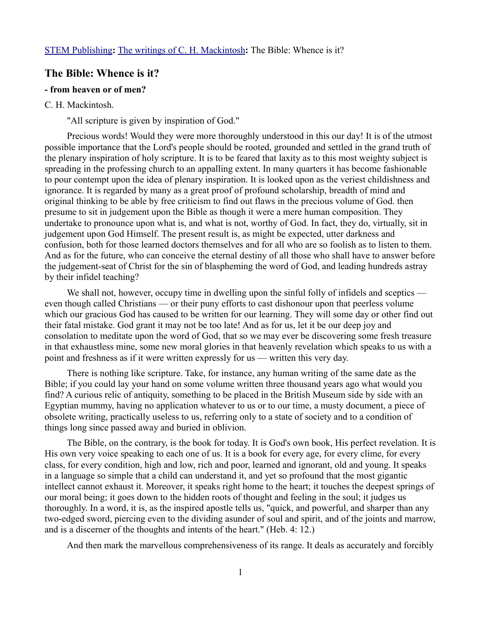## **The Bible: Whence is it?**

## **- from heaven or of men?**

## C. H. Mackintosh.

"All scripture is given by inspiration of God."

Precious words! Would they were more thoroughly understood in this our day! It is of the utmost possible importance that the Lord's people should be rooted, grounded and settled in the grand truth of the plenary inspiration of holy scripture. It is to be feared that laxity as to this most weighty subject is spreading in the professing church to an appalling extent. In many quarters it has become fashionable to pour contempt upon the idea of plenary inspiration. It is looked upon as the veriest childishness and ignorance. It is regarded by many as a great proof of profound scholarship, breadth of mind and original thinking to be able by free criticism to find out flaws in the precious volume of God. then presume to sit in judgement upon the Bible as though it were a mere human composition. They undertake to pronounce upon what is, and what is not, worthy of God. In fact, they do, virtually, sit in judgement upon God Himself. The present result is, as might be expected, utter darkness and confusion, both for those learned doctors themselves and for all who are so foolish as to listen to them. And as for the future, who can conceive the eternal destiny of all those who shall have to answer before the judgement-seat of Christ for the sin of blaspheming the word of God, and leading hundreds astray by their infidel teaching?

We shall not, however, occupy time in dwelling upon the sinful folly of infidels and sceptics even though called Christians — or their puny efforts to cast dishonour upon that peerless volume which our gracious God has caused to be written for our learning. They will some day or other find out their fatal mistake. God grant it may not be too late! And as for us, let it be our deep joy and consolation to meditate upon the word of God, that so we may ever be discovering some fresh treasure in that exhaustless mine, some new moral glories in that heavenly revelation which speaks to us with a point and freshness as if it were written expressly for us — written this very day.

There is nothing like scripture. Take, for instance, any human writing of the same date as the Bible; if you could lay your hand on some volume written three thousand years ago what would you find? A curious relic of antiquity, something to be placed in the British Museum side by side with an Egyptian mummy, having no application whatever to us or to our time, a musty document, a piece of obsolete writing, practically useless to us, referring only to a state of society and to a condition of things long since passed away and buried in oblivion.

The Bible, on the contrary, is the book for today. It is God's own book, His perfect revelation. It is His own very voice speaking to each one of us. It is a book for every age, for every clime, for every class, for every condition, high and low, rich and poor, learned and ignorant, old and young. It speaks in a language so simple that a child can understand it, and yet so profound that the most gigantic intellect cannot exhaust it. Moreover, it speaks right home to the heart; it touches the deepest springs of our moral being; it goes down to the hidden roots of thought and feeling in the soul; it judges us thoroughly. In a word, it is, as the inspired apostle tells us, "quick, and powerful, and sharper than any two-edged sword, piercing even to the dividing asunder of soul and spirit, and of the joints and marrow, and is a discerner of the thoughts and intents of the heart." (Heb. 4: 12.)

And then mark the marvellous comprehensiveness of its range. It deals as accurately and forcibly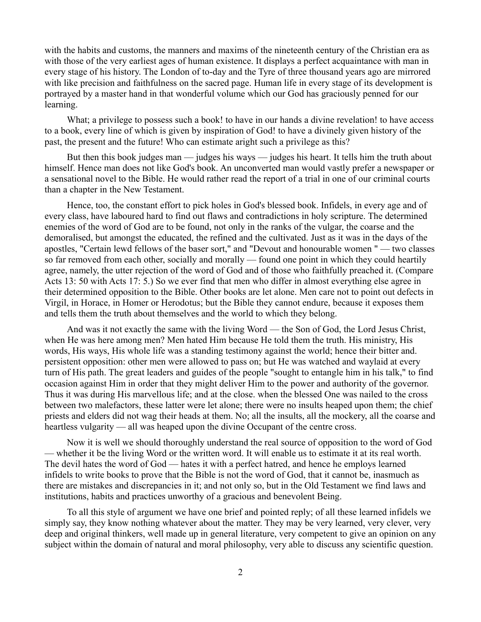with the habits and customs, the manners and maxims of the nineteenth century of the Christian era as with those of the very earliest ages of human existence. It displays a perfect acquaintance with man in every stage of his history. The London of to-day and the Tyre of three thousand years ago are mirrored with like precision and faithfulness on the sacred page. Human life in every stage of its development is portrayed by a master hand in that wonderful volume which our God has graciously penned for our learning.

What; a privilege to possess such a book! to have in our hands a divine revelation! to have access to a book, every line of which is given by inspiration of God! to have a divinely given history of the past, the present and the future! Who can estimate aright such a privilege as this?

But then this book judges man — judges his ways — judges his heart. It tells him the truth about himself. Hence man does not like God's book. An unconverted man would vastly prefer a newspaper or a sensational novel to the Bible. He would rather read the report of a trial in one of our criminal courts than a chapter in the New Testament.

Hence, too, the constant effort to pick holes in God's blessed book. Infidels, in every age and of every class, have laboured hard to find out flaws and contradictions in holy scripture. The determined enemies of the word of God are to be found, not only in the ranks of the vulgar, the coarse and the demoralised, but amongst the educated, the refined and the cultivated. Just as it was in the days of the apostles, "Certain lewd fellows of the baser sort," and "Devout and honourable women " — two classes so far removed from each other, socially and morally — found one point in which they could heartily agree, namely, the utter rejection of the word of God and of those who faithfully preached it. (Compare Acts 13: 50 with Acts 17: 5.) So we ever find that men who differ in almost everything else agree in their determined opposition to the Bible. Other books are let alone. Men care not to point out defects in Virgil, in Horace, in Homer or Herodotus; but the Bible they cannot endure, because it exposes them and tells them the truth about themselves and the world to which they belong.

And was it not exactly the same with the living Word — the Son of God, the Lord Jesus Christ, when He was here among men? Men hated Him because He told them the truth. His ministry, His words, His ways, His whole life was a standing testimony against the world; hence their bitter and. persistent opposition: other men were allowed to pass on; but He was watched and waylaid at every turn of His path. The great leaders and guides of the people "sought to entangle him in his talk," to find occasion against Him in order that they might deliver Him to the power and authority of the governor. Thus it was during His marvellous life; and at the close. when the blessed One was nailed to the cross between two malefactors, these latter were let alone; there were no insults heaped upon them; the chief priests and elders did not wag their heads at them. No; all the insults, all the mockery, all the coarse and heartless vulgarity — all was heaped upon the divine Occupant of the centre cross.

Now it is well we should thoroughly understand the real source of opposition to the word of God — whether it be the living Word or the written word. It will enable us to estimate it at its real worth. The devil hates the word of God — hates it with a perfect hatred, and hence he employs learned infidels to write books to prove that the Bible is not the word of God, that it cannot be, inasmuch as there are mistakes and discrepancies in it; and not only so, but in the Old Testament we find laws and institutions, habits and practices unworthy of a gracious and benevolent Being.

To all this style of argument we have one brief and pointed reply; of all these learned infidels we simply say, they know nothing whatever about the matter. They may be very learned, very clever, very deep and original thinkers, well made up in general literature, very competent to give an opinion on any subject within the domain of natural and moral philosophy, very able to discuss any scientific question.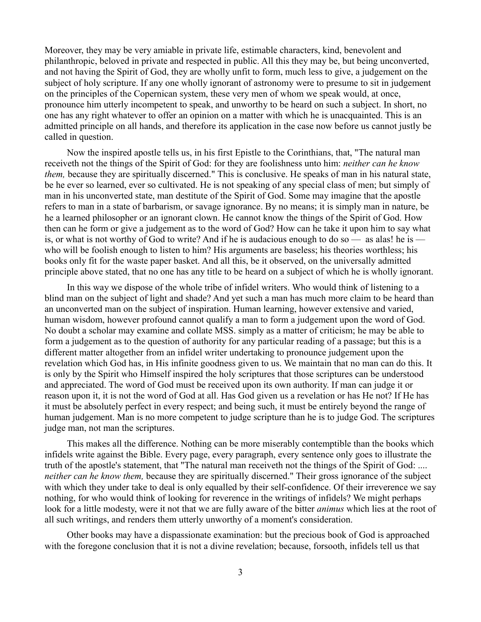Moreover, they may be very amiable in private life, estimable characters, kind, benevolent and philanthropic, beloved in private and respected in public. All this they may be, but being unconverted, and not having the Spirit of God, they are wholly unfit to form, much less to give, a judgement on the subject of holy scripture. If any one wholly ignorant of astronomy were to presume to sit in judgement on the principles of the Copernican system, these very men of whom we speak would, at once, pronounce him utterly incompetent to speak, and unworthy to be heard on such a subject. In short, no one has any right whatever to offer an opinion on a matter with which he is unacquainted. This is an admitted principle on all hands, and therefore its application in the case now before us cannot justly be called in question.

Now the inspired apostle tells us, in his first Epistle to the Corinthians, that, "The natural man receiveth not the things of the Spirit of God: for they are foolishness unto him: *neither can he know them,* because they are spiritually discerned." This is conclusive. He speaks of man in his natural state, be he ever so learned, ever so cultivated. He is not speaking of any special class of men; but simply of man in his unconverted state, man destitute of the Spirit of God. Some may imagine that the apostle refers to man in a state of barbarism, or savage ignorance. By no means; it is simply man in nature, be he a learned philosopher or an ignorant clown. He cannot know the things of the Spirit of God. How then can he form or give a judgement as to the word of God? How can he take it upon him to say what is, or what is not worthy of God to write? And if he is audacious enough to do so — as alas! he is who will be foolish enough to listen to him? His arguments are baseless; his theories worthless; his books only fit for the waste paper basket. And all this, be it observed, on the universally admitted principle above stated, that no one has any title to be heard on a subject of which he is wholly ignorant.

In this way we dispose of the whole tribe of infidel writers. Who would think of listening to a blind man on the subject of light and shade? And yet such a man has much more claim to be heard than an unconverted man on the subject of inspiration. Human learning, however extensive and varied, human wisdom, however profound cannot qualify a man to form a judgement upon the word of God. No doubt a scholar may examine and collate MSS. simply as a matter of criticism; he may be able to form a judgement as to the question of authority for any particular reading of a passage; but this is a different matter altogether from an infidel writer undertaking to pronounce judgement upon the revelation which God has, in His infinite goodness given to us. We maintain that no man can do this. It is only by the Spirit who Himself inspired the holy scriptures that those scriptures can be understood and appreciated. The word of God must be received upon its own authority. If man can judge it or reason upon it, it is not the word of God at all. Has God given us a revelation or has He not? If He has it must be absolutely perfect in every respect; and being such, it must be entirely beyond the range of human judgement. Man is no more competent to judge scripture than he is to judge God. The scriptures judge man, not man the scriptures.

This makes all the difference. Nothing can be more miserably contemptible than the books which infidels write against the Bible. Every page, every paragraph, every sentence only goes to illustrate the truth of the apostle's statement, that "The natural man receiveth not the things of the Spirit of God: .... *neither can he know them,* because they are spiritually discerned." Their gross ignorance of the subject with which they under take to deal is only equalled by their self-confidence. Of their irreverence we say nothing, for who would think of looking for reverence in the writings of infidels? We might perhaps look for a little modesty, were it not that we are fully aware of the bitter *animus* which lies at the root of all such writings, and renders them utterly unworthy of a moment's consideration.

Other books may have a dispassionate examination: but the precious book of God is approached with the foregone conclusion that it is not a divine revelation; because, forsooth, infidels tell us that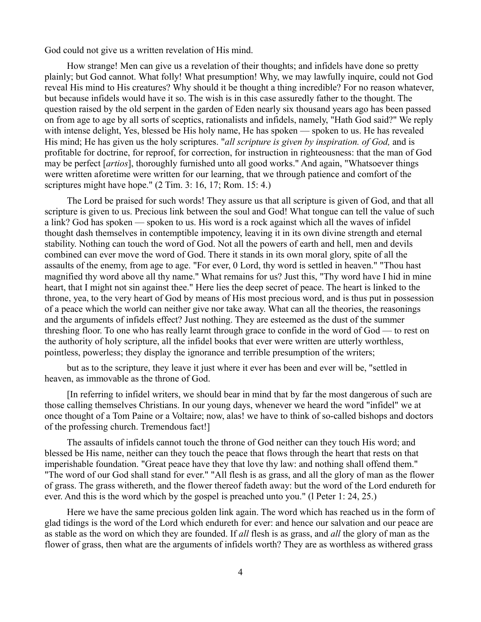God could not give us a written revelation of His mind.

How strange! Men can give us a revelation of their thoughts; and infidels have done so pretty plainly; but God cannot. What folly! What presumption! Why, we may lawfully inquire, could not God reveal His mind to His creatures? Why should it be thought a thing incredible? For no reason whatever, but because infidels would have it so. The wish is in this case assuredly father to the thought. The question raised by the old serpent in the garden of Eden nearly six thousand years ago has been passed on from age to age by all sorts of sceptics, rationalists and infidels, namely, "Hath God said?" We reply with intense delight, Yes, blessed be His holy name, He has spoken — spoken to us. He has revealed His mind; He has given us the holy scriptures. "*all scripture is given by inspiration. of God,* and is profitable for doctrine, for reproof, for correction, for instruction in righteousness: that the man of God may be perfect [*artios*], thoroughly furnished unto all good works." And again, "Whatsoever things were written aforetime were written for our learning, that we through patience and comfort of the scriptures might have hope." (2 Tim. 3: 16, 17; Rom. 15: 4.)

The Lord be praised for such words! They assure us that all scripture is given of God, and that all scripture is given to us. Precious link between the soul and God! What tongue can tell the value of such a link? God has spoken — spoken to us. His word is a rock against which all the waves of infidel thought dash themselves in contemptible impotency, leaving it in its own divine strength and eternal stability. Nothing can touch the word of God. Not all the powers of earth and hell, men and devils combined can ever move the word of God. There it stands in its own moral glory, spite of all the assaults of the enemy, from age to age. "For ever, 0 Lord, thy word is settled in heaven." "Thou hast magnified thy word above all thy name." What remains for us? Just this, "Thy word have I hid in mine heart, that I might not sin against thee." Here lies the deep secret of peace. The heart is linked to the throne, yea, to the very heart of God by means of His most precious word, and is thus put in possession of a peace which the world can neither give nor take away. What can all the theories, the reasonings and the arguments of infidels effect? Just nothing. They are esteemed as the dust of the summer threshing floor. To one who has really learnt through grace to confide in the word of God — to rest on the authority of holy scripture, all the infidel books that ever were written are utterly worthless, pointless, powerless; they display the ignorance and terrible presumption of the writers;

but as to the scripture, they leave it just where it ever has been and ever will be, "settled in heaven, as immovable as the throne of God.

[In referring to infidel writers, we should bear in mind that by far the most dangerous of such are those calling themselves Christians. In our young days, whenever we heard the word "infidel" we at once thought of a Tom Paine or a Voltaire; now, alas! we have to think of so-called bishops and doctors of the professing church. Tremendous fact!]

The assaults of infidels cannot touch the throne of God neither can they touch His word; and blessed be His name, neither can they touch the peace that flows through the heart that rests on that imperishable foundation. "Great peace have they that love thy law: and nothing shall offend them." "The word of our God shall stand for ever." "All flesh is as grass, and all the glory of man as the flower of grass. The grass withereth, and the flower thereof fadeth away: but the word of the Lord endureth for ever. And this is the word which by the gospel is preached unto you." (l Peter 1: 24, 25.)

Here we have the same precious golden link again. The word which has reached us in the form of glad tidings is the word of the Lord which endureth for ever: and hence our salvation and our peace are as stable as the word on which they are founded. If *all* flesh is as grass, and *all* the glory of man as the flower of grass, then what are the arguments of infidels worth? They are as worthless as withered grass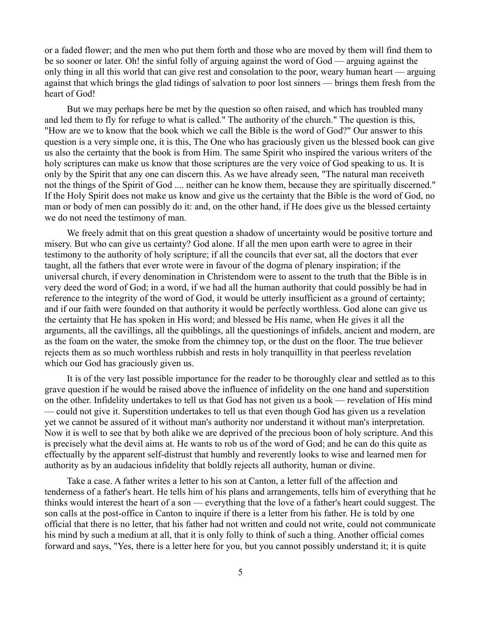or a faded flower; and the men who put them forth and those who are moved by them will find them to be so sooner or later. Oh! the sinful folly of arguing against the word of God — arguing against the only thing in all this world that can give rest and consolation to the poor, weary human heart — arguing against that which brings the glad tidings of salvation to poor lost sinners — brings them fresh from the heart of God!

But we may perhaps here be met by the question so often raised, and which has troubled many and led them to fly for refuge to what is called." The authority of the church." The question is this, "How are we to know that the book which we call the Bible is the word of God?" Our answer to this question is a very simple one, it is this, The One who has graciously given us the blessed book can give us also the certainty that the book is from Him. The same Spirit who inspired the various writers of the holy scriptures can make us know that those scriptures are the very voice of God speaking to us. It is only by the Spirit that any one can discern this. As we have already seen, "The natural man receiveth not the things of the Spirit of God .... neither can he know them, because they are spiritually discerned." If the Holy Spirit does not make us know and give us the certainty that the Bible is the word of God, no man or body of men can possibly do it: and, on the other hand, if He does give us the blessed certainty we do not need the testimony of man.

We freely admit that on this great question a shadow of uncertainty would be positive torture and misery. But who can give us certainty? God alone. If all the men upon earth were to agree in their testimony to the authority of holy scripture; if all the councils that ever sat, all the doctors that ever taught, all the fathers that ever wrote were in favour of the dogma of plenary inspiration; if the universal church, if every denomination in Christendom were to assent to the truth that the Bible is in very deed the word of God; in a word, if we had all the human authority that could possibly be had in reference to the integrity of the word of God, it would be utterly insufficient as a ground of certainty; and if our faith were founded on that authority it would be perfectly worthless. God alone can give us the certainty that He has spoken in His word; and blessed be His name, when He gives it all the arguments, all the cavillings, all the quibblings, all the questionings of infidels, ancient and modern, are as the foam on the water, the smoke from the chimney top, or the dust on the floor. The true believer rejects them as so much worthless rubbish and rests in holy tranquillity in that peerless revelation which our God has graciously given us.

It is of the very last possible importance for the reader to be thoroughly clear and settled as to this grave question if he would be raised above the influence of infidelity on the one hand and superstition on the other. Infidelity undertakes to tell us that God has not given us a book — revelation of His mind — could not give it. Superstition undertakes to tell us that even though God has given us a revelation yet we cannot be assured of it without man's authority nor understand it without man's interpretation. Now it is well to see that by both alike we are deprived of the precious boon of holy scripture. And this is precisely what the devil aims at. He wants to rob us of the word of God; and he can do this quite as effectually by the apparent self-distrust that humbly and reverently looks to wise and learned men for authority as by an audacious infidelity that boldly rejects all authority, human or divine.

Take a case. A father writes a letter to his son at Canton, a letter full of the affection and tenderness of a father's heart. He tells him of his plans and arrangements, tells him of everything that he thinks would interest the heart of a son — everything that the love of a father's heart could suggest. The son calls at the post-office in Canton to inquire if there is a letter from his father. He is told by one official that there is no letter, that his father had not written and could not write, could not communicate his mind by such a medium at all, that it is only folly to think of such a thing. Another official comes forward and says, "Yes, there is a letter here for you, but you cannot possibly understand it; it is quite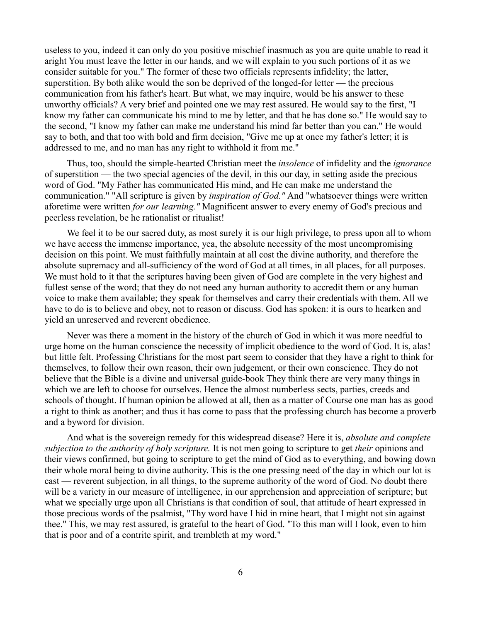useless to you, indeed it can only do you positive mischief inasmuch as you are quite unable to read it aright You must leave the letter in our hands, and we will explain to you such portions of it as we consider suitable for you." The former of these two officials represents infidelity; the latter, superstition. By both alike would the son be deprived of the longed-for letter — the precious communication from his father's heart. But what, we may inquire, would be his answer to these unworthy officials? A very brief and pointed one we may rest assured. He would say to the first, "I know my father can communicate his mind to me by letter, and that he has done so." He would say to the second, "I know my father can make me understand his mind far better than you can." He would say to both, and that too with bold and firm decision, "Give me up at once my father's letter; it is addressed to me, and no man has any right to withhold it from me."

Thus, too, should the simple-hearted Christian meet the *insolence* of infidelity and the *ignorance* of superstition — the two special agencies of the devil, in this our day, in setting aside the precious word of God. "My Father has communicated His mind, and He can make me understand the communication." "All scripture is given by *inspiration of God."* And "whatsoever things were written aforetime were written *for our learning."* Magnificent answer to every enemy of God's precious and peerless revelation, be he rationalist or ritualist!

We feel it to be our sacred duty, as most surely it is our high privilege, to press upon all to whom we have access the immense importance, yea, the absolute necessity of the most uncompromising decision on this point. We must faithfully maintain at all cost the divine authority, and therefore the absolute supremacy and all-sufficiency of the word of God at all times, in all places, for all purposes. We must hold to it that the scriptures having been given of God are complete in the very highest and fullest sense of the word; that they do not need any human authority to accredit them or any human voice to make them available; they speak for themselves and carry their credentials with them. All we have to do is to believe and obey, not to reason or discuss. God has spoken: it is ours to hearken and yield an unreserved and reverent obedience.

Never was there a moment in the history of the church of God in which it was more needful to urge home on the human conscience the necessity of implicit obedience to the word of God. It is, alas! but little felt. Professing Christians for the most part seem to consider that they have a right to think for themselves, to follow their own reason, their own judgement, or their own conscience. They do not believe that the Bible is a divine and universal guide-book They think there are very many things in which we are left to choose for ourselves. Hence the almost numberless sects, parties, creeds and schools of thought. If human opinion be allowed at all, then as a matter of Course one man has as good a right to think as another; and thus it has come to pass that the professing church has become a proverb and a byword for division.

And what is the sovereign remedy for this widespread disease? Here it is, *absolute and complete subjection to the authority of holy scripture.* It is not men going to scripture to get *their* opinions and their views confirmed, but going to scripture to get the mind of God as to everything, and bowing down their whole moral being to divine authority. This is the one pressing need of the day in which our lot is cast — reverent subjection, in all things, to the supreme authority of the word of God. No doubt there will be a variety in our measure of intelligence, in our apprehension and appreciation of scripture; but what we specially urge upon all Christians is that condition of soul, that attitude of heart expressed in those precious words of the psalmist, "Thy word have I hid in mine heart, that I might not sin against thee." This, we may rest assured, is grateful to the heart of God. "To this man will I look, even to him that is poor and of a contrite spirit, and trembleth at my word."